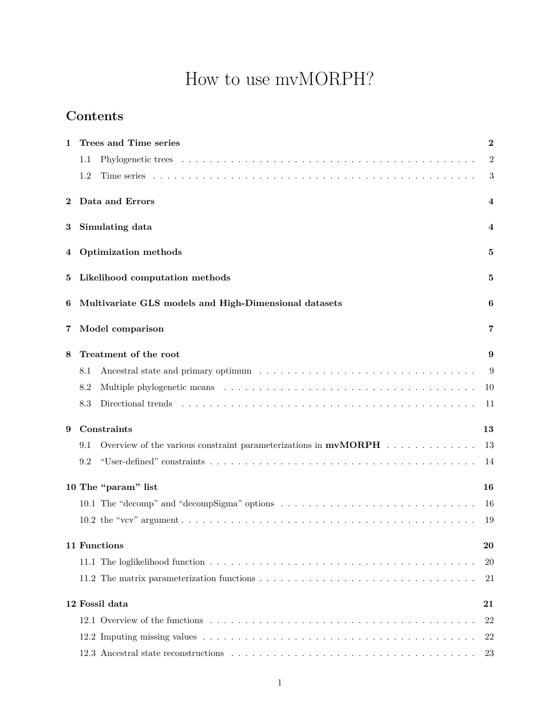# How to use mvMORPH?

# **Contents**

| 1        | Trees and Time series                                                             |    |  |  |  |  |
|----------|-----------------------------------------------------------------------------------|----|--|--|--|--|
|          | 1.1                                                                               | 2  |  |  |  |  |
|          | 1.2                                                                               | 3  |  |  |  |  |
| $\bf{2}$ | Data and Errors                                                                   | 4  |  |  |  |  |
| 3        | Simulating data                                                                   | 4  |  |  |  |  |
| 4        | Optimization methods                                                              | 5  |  |  |  |  |
| 5        | Likelihood computation methods                                                    | 5  |  |  |  |  |
| 6        | Multivariate GLS models and High-Dimensional datasets                             | 6  |  |  |  |  |
| 7        | Model comparison                                                                  | 7  |  |  |  |  |
| 8        | Treatment of the root                                                             | 9  |  |  |  |  |
|          | 8.1                                                                               | 9  |  |  |  |  |
|          | 8.2                                                                               | 10 |  |  |  |  |
|          | 8.3                                                                               | 11 |  |  |  |  |
| 9        | Constraints                                                                       |    |  |  |  |  |
|          | Overview of the various constraint parameterizations in $\mathbf{mvMORPH}$<br>9.1 | 13 |  |  |  |  |
|          | 9.2                                                                               | 14 |  |  |  |  |
|          | 10 The "param" list                                                               | 16 |  |  |  |  |
|          |                                                                                   | 16 |  |  |  |  |
|          |                                                                                   | 19 |  |  |  |  |
|          | 11 Functions                                                                      | 20 |  |  |  |  |
|          |                                                                                   | 20 |  |  |  |  |
|          |                                                                                   | 21 |  |  |  |  |
|          | 12 Fossil data                                                                    | 21 |  |  |  |  |
|          |                                                                                   | 22 |  |  |  |  |
|          |                                                                                   | 22 |  |  |  |  |
|          |                                                                                   | 23 |  |  |  |  |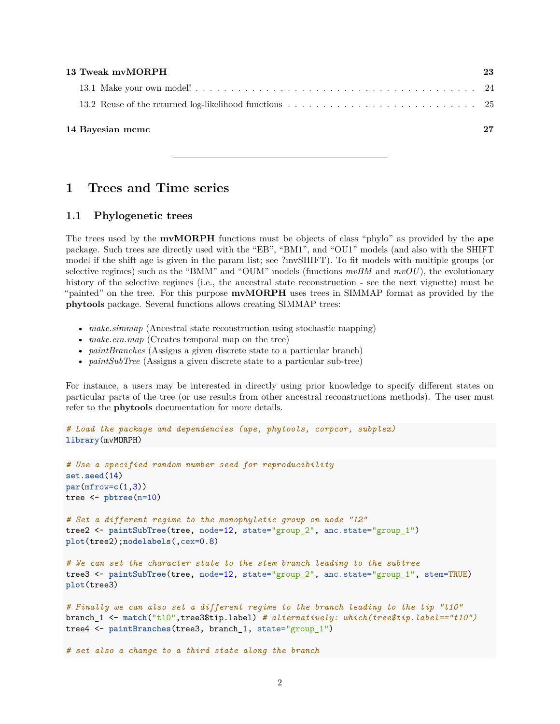| 13 Tweak myMORPH | 23 |
|------------------|----|
|                  |    |
|                  |    |
| 14 Bayesian mcmc | 27 |

# <span id="page-1-0"></span>**1 Trees and Time series**

#### <span id="page-1-1"></span>**1.1 Phylogenetic trees**

The trees used by the **mvMORPH** functions must be objects of class "phylo" as provided by the **ape** package. Such trees are directly used with the "EB", "BM1", and "OU1" models (and also with the SHIFT model if the shift age is given in the param list; see ?mvSHIFT). To fit models with multiple groups (or selective regimes) such as the "BMM" and "OUM" models (functions *mvBM* and *mvOU*), the evolutionary history of the selective regimes (i.e., the ancestral state reconstruction - see the next vignette) must be "painted" on the tree. For this purpose **mvMORPH** uses trees in SIMMAP format as provided by the **phytools** package. Several functions allows creating SIMMAP trees:

- *make.simmap* (Ancestral state reconstruction using stochastic mapping)
- *make.era.map* (Creates temporal map on the tree)
- *paintBranches* (Assigns a given discrete state to a particular branch)
- *paintSubTree* (Assigns a given discrete state to a particular sub-tree)

For instance, a users may be interested in directly using prior knowledge to specify different states on particular parts of the tree (or use results from other ancestral reconstructions methods). The user must refer to the **phytools** documentation for more details.

```
# Load the package and dependencies (ape, phytools, corpcor, subplex)
library(mvMORPH)
```

```
# Use a specified random number seed for reproducibility
set.seed(14)
par(mfrow=c(1,3))
tree <- pbtree(n=10)
# Set a different regime to the monophyletic group on node "12"
tree2 <- paintSubTree(tree, node=12, state="group_2", anc.state="group_1")
plot(tree2);nodelabels(,cex=0.8)
# We can set the character state to the stem branch leading to the subtree
tree3 <- paintSubTree(tree, node=12, state="group_2", anc.state="group_1", stem=TRUE)
plot(tree3)
# Finally we can also set a different regime to the branch leading to the tip "t10"
```

```
branch_1 <- match("t10",tree3$tip.label) # alternatively: which(tree$tip.label=="t10")
tree4 <- paintBranches(tree3, branch_1, state="group_1")
```
*# set also a change to a third state along the branch*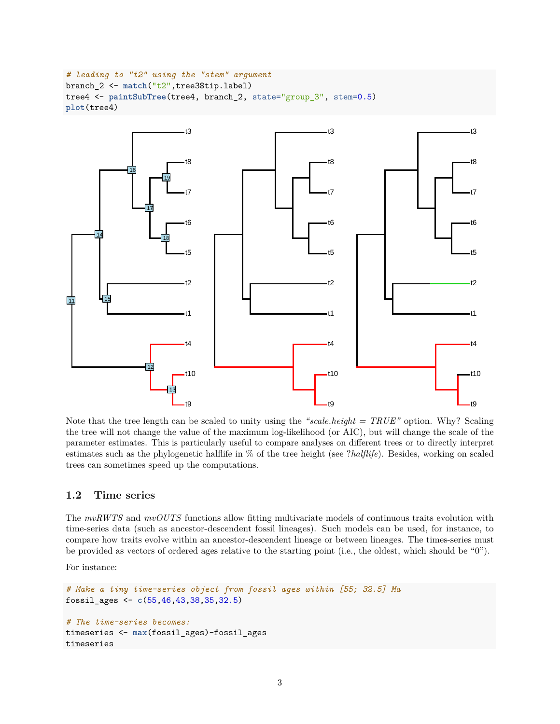```
# leading to "t2" using the "stem" argument
branch_2 <- match("t2",tree3$tip.label)
tree4 <- paintSubTree(tree4, branch_2, state="group_3", stem=0.5)
plot(tree4)
```


Note that the tree length can be scaled to unity using the *"scale.height = TRUE"* option. Why? Scaling the tree will not change the value of the maximum log-likelihood (or AIC), but will change the scale of the parameter estimates. This is particularly useful to compare analyses on different trees or to directly interpret estimates such as the phylogenetic halflife in % of the tree height (see ?*halflife*). Besides, working on scaled trees can sometimes speed up the computations.

#### <span id="page-2-0"></span>**1.2 Time series**

The *mvRWTS* and *mvOUTS* functions allow fitting multivariate models of continuous traits evolution with time-series data (such as ancestor-descendent fossil lineages). Such models can be used, for instance, to compare how traits evolve within an ancestor-descendent lineage or between lineages. The times-series must be provided as vectors of ordered ages relative to the starting point (i.e., the oldest, which should be "0").

For instance:

```
# Make a tiny time-series object from fossil ages within [55; 32.5] Ma
fossil_ages <- c(55,46,43,38,35,32.5)
# The time-series becomes:
timeseries <- max(fossil_ages)-fossil_ages
timeseries
```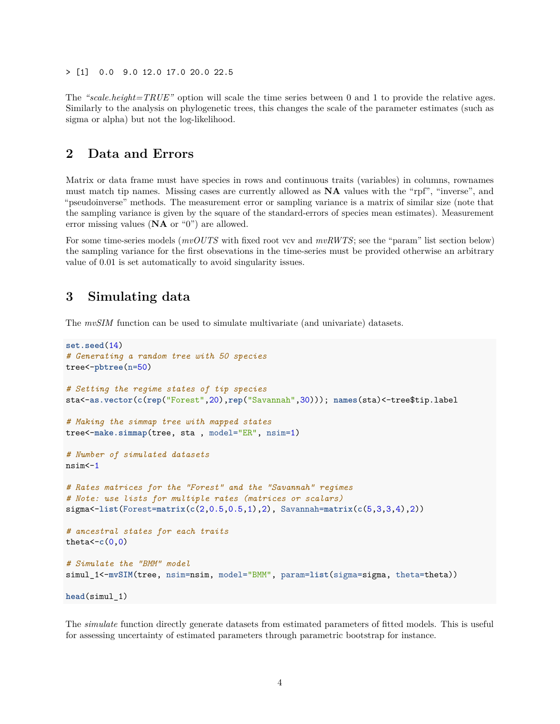> [1] 0.0 9.0 12.0 17.0 20.0 22.5

The *"scale.height=TRUE"* option will scale the time series between 0 and 1 to provide the relative ages. Similarly to the analysis on phylogenetic trees, this changes the scale of the parameter estimates (such as sigma or alpha) but not the log-likelihood.

# <span id="page-3-0"></span>**2 Data and Errors**

Matrix or data frame must have species in rows and continuous traits (variables) in columns, rownames must match tip names. Missing cases are currently allowed as **NA** values with the "rpf", "inverse", and "pseudoinverse" methods. The measurement error or sampling variance is a matrix of similar size (note that the sampling variance is given by the square of the standard-errors of species mean estimates). Measurement error missing values (**NA** or "0") are allowed.

For some time-series models (*mvOUTS* with fixed root vcv and *mvRWTS*; see the "param" list section below) the sampling variance for the first obsevations in the time-series must be provided otherwise an arbitrary value of 0.01 is set automatically to avoid singularity issues.

# <span id="page-3-1"></span>**3 Simulating data**

The *mvSIM* function can be used to simulate multivariate (and univariate) datasets.

```
set.seed(14)
# Generating a random tree with 50 species
tree<-pbtree(n=50)
# Setting the regime states of tip species
sta<-as.vector(c(rep("Forest",20),rep("Savannah",30))); names(sta)<-tree$tip.label
# Making the simmap tree with mapped states
tree<-make.simmap(tree, sta , model="ER", nsim=1)
# Number of simulated datasets
nsim<-1
# Rates matrices for the "Forest" and the "Savannah" regimes
# Note: use lists for multiple rates (matrices or scalars)
sigma<-list(Forest=matrix(c(2,0.5,0.5,1),2), Savannah=matrix(c(5,3,3,4),2))
# ancestral states for each traits
theta<-c(0,0)
# Simulate the "BMM" model
simul_1<-mvSIM(tree, nsim=nsim, model="BMM", param=list(sigma=sigma, theta=theta))
head(simul_1)
```
The *simulate* function directly generate datasets from estimated parameters of fitted models. This is useful for assessing uncertainty of estimated parameters through parametric bootstrap for instance.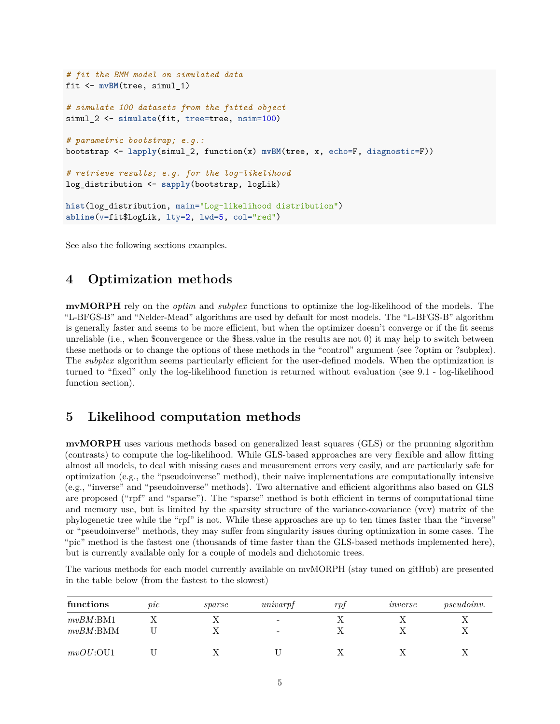```
# fit the BMM model on simulated data
fit <- mvBM(tree, simul_1)
# simulate 100 datasets from the fitted object
simul 2 <- simulate(fit, tree=tree, nsim=100)
# parametric bootstrap; e.g.:
bootstrap <- lapply(simul_2, function(x) mvBM(tree, x, echo=F, diagnostic=F))
# retrieve results; e.g. for the log-likelihood
log_distribution <- sapply(bootstrap, logLik)
hist(log_distribution, main="Log-likelihood distribution")
abline(v=fit$LogLik, lty=2, lwd=5, col="red")
```
See also the following sections examples.

# <span id="page-4-0"></span>**4 Optimization methods**

**mvMORPH** rely on the *optim* and *subplex* functions to optimize the log-likelihood of the models. The "L-BFGS-B" and "Nelder-Mead" algorithms are used by default for most models. The "L-BFGS-B" algorithm is generally faster and seems to be more efficient, but when the optimizer doesn't converge or if the fit seems unreliable (i.e., when \$convergence or the \$hess.value in the results are not 0) it may help to switch between these methods or to change the options of these methods in the "control" argument (see ?optim or ?subplex). The *subplex* algorithm seems particularly efficient for the user-defined models. When the optimization is turned to "fixed" only the log-likelihood function is returned without evaluation (see 9.1 - log-likelihood function section).

# <span id="page-4-1"></span>**5 Likelihood computation methods**

**mvMORPH** uses various methods based on generalized least squares (GLS) or the prunning algorithm (contrasts) to compute the log-likelihood. While GLS-based approaches are very flexible and allow fitting almost all models, to deal with missing cases and measurement errors very easily, and are particularly safe for optimization (e.g., the "pseudoinverse" method), their naive implementations are computationally intensive (e.g., "inverse" and "pseudoinverse" methods). Two alternative and efficient algorithms also based on GLS are proposed ("rpf" and "sparse"). The "sparse" method is both efficient in terms of computational time and memory use, but is limited by the sparsity structure of the variance-covariance (vcv) matrix of the phylogenetic tree while the "rpf" is not. While these approaches are up to ten times faster than the "inverse" or "pseudoinverse" methods, they may suffer from singularity issues during optimization in some cases. The "pic" method is the fastest one (thousands of time faster than the GLS-based methods implemented here), but is currently available only for a couple of models and dichotomic trees.

The various methods for each model currently available on mvMORPH (stay tuned on gitHub) are presented in the table below (from the fastest to the slowest)

| functions   | pic | sparse | univarpf | rp1 | inverse | <i>pseudoinv.</i> |
|-------------|-----|--------|----------|-----|---------|-------------------|
| $mvBM$ :BM1 |     |        | -        |     |         |                   |
| $mvBM:$ BMM |     |        |          |     |         |                   |
| mvOU:OU1    |     |        |          |     |         |                   |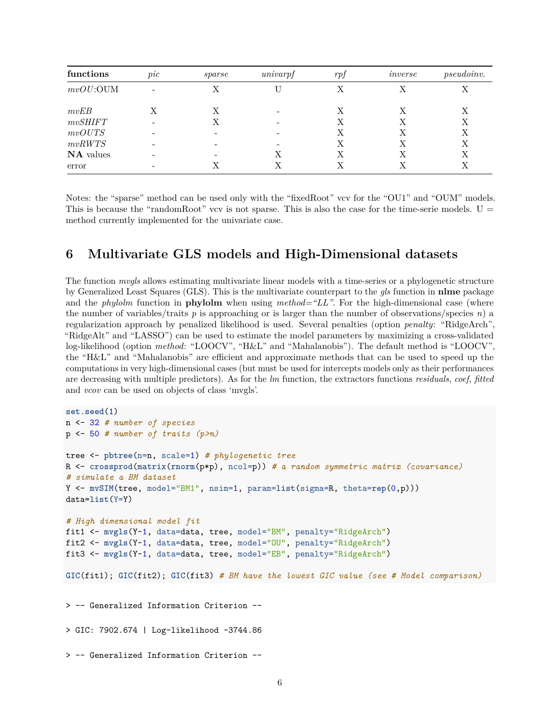| functions   | pic | sparse | univarpf | r p f | inverse | <i>pseudoinv.</i> |
|-------------|-----|--------|----------|-------|---------|-------------------|
| $mvOU:$ OUM |     | Х      |          | Х     |         | Х                 |
| mvEB        |     | Х      |          | Х     |         | Χ                 |
| mvSHIFT     |     | Х      |          | X     | Х       | X                 |
| mvOUTS      |     |        |          | Х     |         | Χ                 |
| mvRWTS      |     |        |          | Χ     |         | X                 |
| NA values   |     |        |          | X     |         | Х                 |
| error       |     | Х      |          | X     |         | Χ                 |

Notes: the "sparse" method can be used only with the "fixedRoot" vcv for the "OU1" and "OUM" models. This is because the "randomRoot" vcv is not sparse. This is also the case for the time-serie models.  $U =$ method currently implemented for the univariate case.

# <span id="page-5-0"></span>**6 Multivariate GLS models and High-Dimensional datasets**

The function *mvgls* allows estimating multivariate linear models with a time-series or a phylogenetic structure by Generalized Least Squares (GLS). This is the multivariate counterpart to the *gls* function in **nlme** package and the *phylolm* function in **phylolm** when using *method="LL"*. For the high-dimensional case (where the number of variables/traits  $p$  is approaching or is larger than the number of observations/species  $n)$  a regularization approach by penalized likelihood is used. Several penalties (option *penalty*: "RidgeArch", "RidgeAlt" and "LASSO") can be used to estimate the model parameters by maximizing a cross-validated log-likelihood (option *method*: "LOOCV", "H&L" and "Mahalanobis"). The default method is "LOOCV", the "H&L" and "Mahalanobis" are efficient and approximate methods that can be used to speed up the computations in very high-dimensional cases (but must be used for intercepts models only as their performances are decreasing with multiple predictors). As for the *lm* function, the extractors functions *residuals*, *coef*, *fitted* and *vcov* can be used on objects of class 'mvgls'.

```
set.seed(1)
n <- 32 # number of species
p <- 50 # number of traits (p>n)
tree <- pbtree(n=n, scale=1) # phylogenetic tree
R <- crossprod(matrix(rnorm(p*p), ncol=p)) # a random symmetric matrix (covariance)
# simulate a BM dataset
Y <- mvSIM(tree, model="BM1", nsim=1, param=list(sigma=R, theta=rep(0,p)))
data=list(Y=Y)
# High dimensional model fit
fit1 <- mvgls(Y~1, data=data, tree, model="BM", penalty="RidgeArch")
fit2 <- mvgls(Y~1, data=data, tree, model="OU", penalty="RidgeArch")
fit3 <- mvgls(Y~1, data=data, tree, model="EB", penalty="RidgeArch")
GIC(fit1); GIC(fit2); GIC(fit3) # BM have the lowest GIC value (see # Model comparison)
> -- Generalized Information Criterion --
> GIC: 7902.674 | Log-likelihood -3744.86
> -- Generalized Information Criterion --
```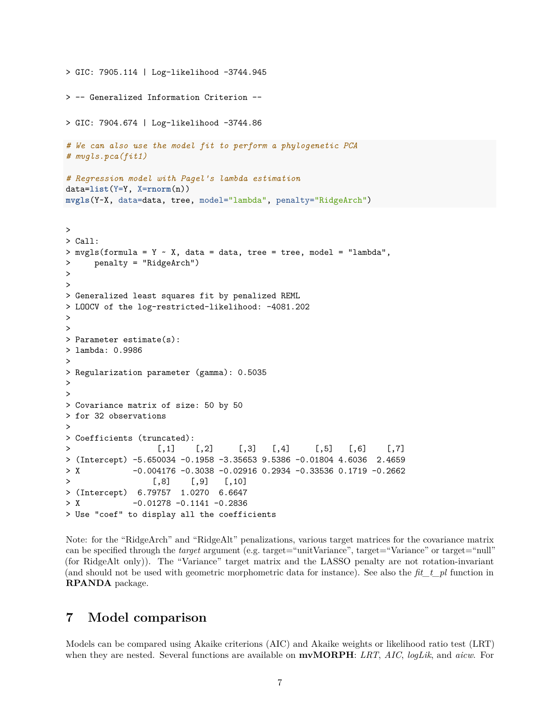```
> GIC: 7905.114 | Log-likelihood -3744.945
> -- Generalized Information Criterion --
> GIC: 7904.674 | Log-likelihood -3744.86
# We can also use the model fit to perform a phylogenetic PCA
# mvgls.pca(fit1)
# Regression model with Pagel's lambda estimation
data=list(Y=Y, X=rnorm(n))
mvgls(Y~X, data=data, tree, model="lambda", penalty="RidgeArch")
>
> Call:
> mvgls(formula = Y \sim X, data = data, tree = tree, model = "lambda",
> penalty = "RidgeArch")
>
>
> Generalized least squares fit by penalized REML
> LOOCV of the log-restricted-likelihood: -4081.202
>
>
> Parameter estimate(s):
> lambda: 0.9986
>
> Regularization parameter (gamma): 0.5035
>
>
> Covariance matrix of size: 50 by 50
> for 32 observations
>
> Coefficients (truncated):
> [,1] [,2] [,3] [,4] [,5] [,6] [,7]
> (Intercept) -5.650034 -0.1958 -3.35653 9.5386 -0.01804 4.6036 2.4659
> X -0.004176 -0.3038 -0.02916 0.2934 -0.33536 0.1719 -0.2662
> [,8] [,9] [,10]
> (Intercept) 6.79757 1.0270 6.6647
> X -0.01278 -0.1141 -0.2836
> Use "coef" to display all the coefficients
```
Note: for the "RidgeArch" and "RidgeAlt" penalizations, various target matrices for the covariance matrix can be specified through the *target* argument (e.g. target="unitVariance", target="Variance" or target="null" (for RidgeAlt only)). The "Variance" target matrix and the LASSO penalty are not rotation-invariant (and should not be used with geometric morphometric data for instance). See also the *fit\_t\_pl* function in **RPANDA** package.

# <span id="page-6-0"></span>**7 Model comparison**

Models can be compared using Akaike criterions (AIC) and Akaike weights or likelihood ratio test (LRT) when they are nested. Several functions are available on **mvMORPH**: *LRT*, *AIC*, *logLik*, and *aicw*. For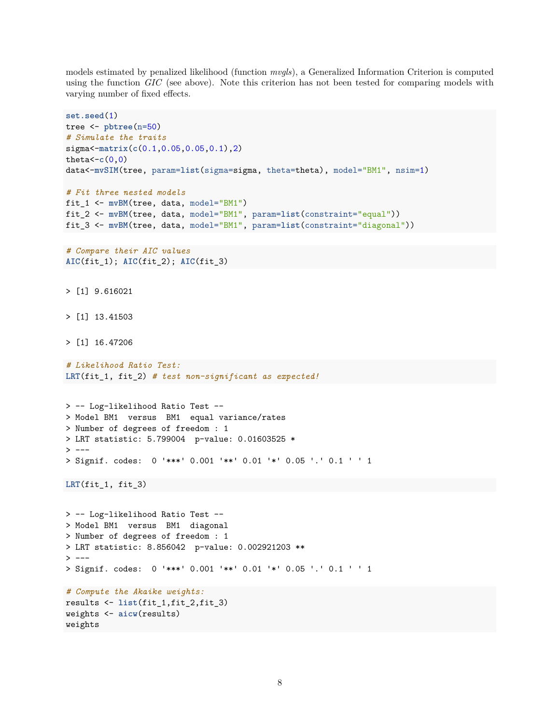models estimated by penalized likelihood (function *mvgls*), a Generalized Information Criterion is computed using the function *GIC* (see above). Note this criterion has not been tested for comparing models with varying number of fixed effects.

```
set.seed(1)
tree <- pbtree(n=50)
# Simulate the traits
sigma<-matrix(c(0.1,0.05,0.05,0.1),2)
theta<-c(0,0)
data<-mvSIM(tree, param=list(sigma=sigma, theta=theta), model="BM1", nsim=1)
# Fit three nested models
fit_1 <- mvBM(tree, data, model="BM1")
fit_2 <- mvBM(tree, data, model="BM1", param=list(constraint="equal"))
fit_3 <- mvBM(tree, data, model="BM1", param=list(constraint="diagonal"))
# Compare their AIC values
AIC(fit_1); AIC(fit_2); AIC(fit_3)
> [1] 9.616021
> [1] 13.41503
> [1] 16.47206
# Likelihood Ratio Test:
LRT(fit_1, fit_2) # test non-significant as expected!
> -- Log-likelihood Ratio Test --
> Model BM1 versus BM1 equal variance/rates
> Number of degrees of freedom : 1
> LRT statistic: 5.799004 p-value: 0.01603525 *
> ---
> Signif. codes: 0 '***' 0.001 '**' 0.01 '*' 0.05 '.' 0.1 ' ' 1
LRT(fit_1, fit_3)
> -- Log-likelihood Ratio Test --
> Model BM1 versus BM1 diagonal
> Number of degrees of freedom : 1
> LRT statistic: 8.856042 p-value: 0.002921203 **
> ---> Signif. codes: 0 '***' 0.001 '**' 0.01 '*' 0.05 '.' 0.1 ' ' 1
# Compute the Akaike weights:
results <- list(fit_1,fit_2,fit_3)
weights <- aicw(results)
```
weights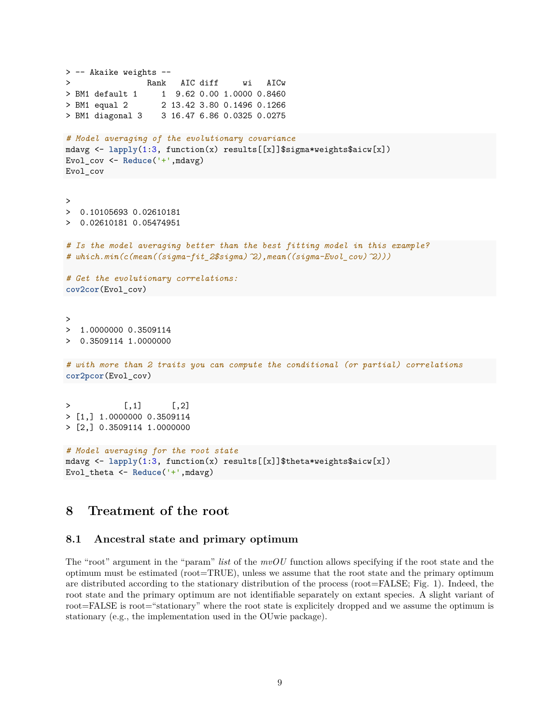```
> -- Akaike weights --
> Rank AIC diff wi AICw
> BM1 default 1 1 9.62 0.00 1.0000 0.8460
> BM1 equal 2 2 13.42 3.80 0.1496 0.1266
> BM1 diagonal 3 3 16.47 6.86 0.0325 0.0275
# Model averaging of the evolutionary covariance
mdavg <- lapply(1:3, function(x) results[[x]]$sigma*weights$aicw[x])
Evol_cov <- Reduce('+',mdavg)
Evol_cov
>
> 0.10105693 0.02610181
> 0.02610181 0.05474951
# Is the model averaging better than the best fitting model in this example?
# which.min(c(mean((sigma-fit_2$sigma)^2),mean((sigma-Evol_cov)^2)))
# Get the evolutionary correlations:
cov2cor(Evol_cov)
>
> 1.0000000 0.3509114
> 0.3509114 1.0000000
# with more than 2 traits you can compute the conditional (or partial) correlations
cor2pcor(Evol_cov)
> [1,1] [1,2]> [1,] 1.0000000 0.3509114> [2,] 0.3509114 1.0000000
# Model averaging for the root state
mdavg <- lapply(1:3, function(x) results[[x]]$theta*weights$aicw[x])
Evol_theta <- Reduce('+',mdavg)
```
# <span id="page-8-0"></span>**8 Treatment of the root**

#### <span id="page-8-1"></span>**8.1 Ancestral state and primary optimum**

The "root" argument in the "param" *list* of the *mvOU* function allows specifying if the root state and the optimum must be estimated (root=TRUE), unless we assume that the root state and the primary optimum are distributed according to the stationary distribution of the process (root=FALSE; Fig. 1). Indeed, the root state and the primary optimum are not identifiable separately on extant species. A slight variant of root=FALSE is root="stationary" where the root state is explicitely dropped and we assume the optimum is stationary (e.g., the implementation used in the OUwie package).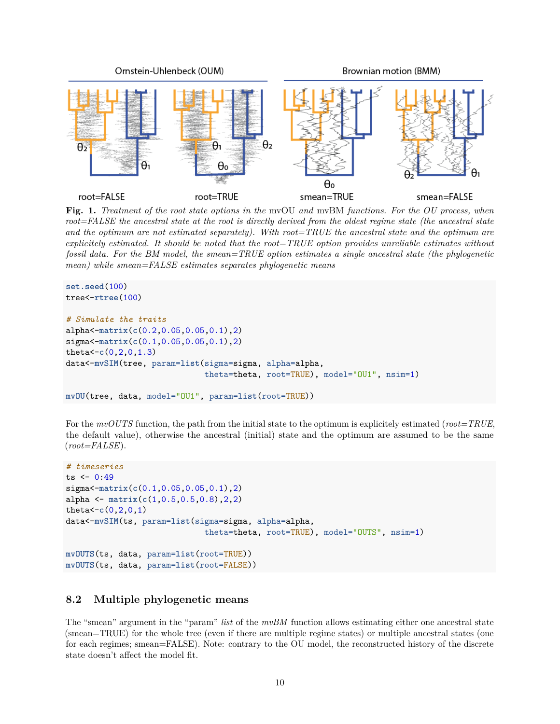

**Fig. 1.** *Treatment of the root state options in the* mvOU *and* mvBM *functions. For the OU process, when root=FALSE the ancestral state at the root is directly derived from the oldest regime state (the ancestral state and the optimum are not estimated separately). With root=TRUE the ancestral state and the optimum are explicitely estimated. It should be noted that the root=TRUE option provides unreliable estimates without fossil data. For the BM model, the smean=TRUE option estimates a single ancestral state (the phylogenetic mean) while smean=FALSE estimates separates phylogenetic means*

```
set.seed(100)
tree<-rtree(100)
# Simulate the traits
alpha<-matrix(c(0.2,0.05,0.05,0.1),2)
sigma<-matrix(c(0.1,0.05,0.05,0.1),2)
theta<-c(0,2,0,1.3)
data<-mvSIM(tree, param=list(sigma=sigma, alpha=alpha,
                             theta=theta, root=TRUE), model="OU1", nsim=1)
mvOU(tree, data, model="OU1", param=list(root=TRUE))
```
For the *mvOUTS* function, the path from the initial state to the optimum is explicitely estimated (*root=TRUE*, the default value), otherwise the ancestral (initial) state and the optimum are assumed to be the same (*root=FALSE*).

```
# timeseries
ts < -0.49sigma<-matrix(c(0.1,0.05,0.05,0.1),2)
alpha <- matrix(c(1,0.5,0.5,0.8),2,2)
theta<-c(0,2,0,1)
data<-mvSIM(ts, param=list(sigma=sigma, alpha=alpha,
                             theta=theta, root=TRUE), model="OUTS", nsim=1)
mvOUTS(ts, data, param=list(root=TRUE))
mvOUTS(ts, data, param=list(root=FALSE))
```
#### <span id="page-9-0"></span>**8.2 Multiple phylogenetic means**

The "smean" argument in the "param" *list* of the *mvBM* function allows estimating either one ancestral state (smean=TRUE) for the whole tree (even if there are multiple regime states) or multiple ancestral states (one for each regimes; smean=FALSE). Note: contrary to the OU model, the reconstructed history of the discrete state doesn't affect the model fit.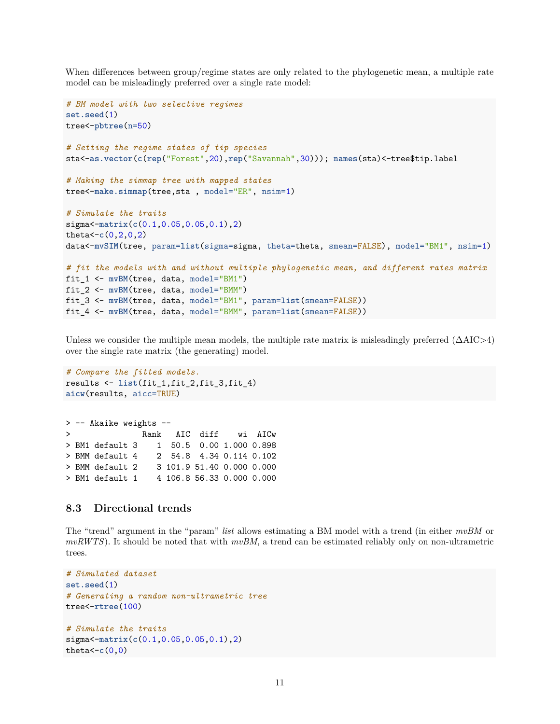When differences between group/regime states are only related to the phylogenetic mean, a multiple rate model can be misleadingly preferred over a single rate model:

```
# BM model with two selective regimes
set.seed(1)
tree<-pbtree(n=50)
# Setting the regime states of tip species
sta<-as.vector(c(rep("Forest",20),rep("Savannah",30))); names(sta)<-tree$tip.label
# Making the simmap tree with mapped states
tree<-make.simmap(tree,sta , model="ER", nsim=1)
# Simulate the traits
sigma<-matrix(c(0.1,0.05,0.05,0.1),2)
theta<-c(0,2,0,2)
data<-mvSIM(tree, param=list(sigma=sigma, theta=theta, smean=FALSE), model="BM1", nsim=1)
# fit the models with and without multiple phylogenetic mean, and different rates matrix
fit_1 <- mvBM(tree, data, model="BM1")
fit_2 <- mvBM(tree, data, model="BMM")
fit_3 <- mvBM(tree, data, model="BM1", param=list(smean=FALSE))
fit_4 <- mvBM(tree, data, model="BMM", param=list(smean=FALSE))
```
Unless we consider the multiple mean models, the multiple rate matrix is misleadingly preferred  $(\Delta AIC>4)$ over the single rate matrix (the generating) model.

```
# Compare the fitted models.
results <- list(fit_1,fit_2,fit_3,fit_4)
aicw(results, aicc=TRUE)
```
> -- Akaike weights -- > Rank AIC diff wi AICw > BM1 default 3 1 50.5 0.00 1.000 0.898 > BMM default 4 2 54.8 4.34 0.114 0.102 > BMM default 2 3 101.9 51.40 0.000 0.000 > BM1 default 1 4 106.8 56.33 0.000 0.000

#### <span id="page-10-0"></span>**8.3 Directional trends**

The "trend" argument in the "param" *list* allows estimating a BM model with a trend (in either *mvBM* or *mvRWTS*). It should be noted that with *mvBM*, a trend can be estimated reliably only on non-ultrametric trees.

```
# Simulated dataset
set.seed(1)
# Generating a random non-ultrametric tree
tree<-rtree(100)
# Simulate the traits
sigma<-matrix(c(0.1,0.05,0.05,0.1),2)
theta< -c(0,0)
```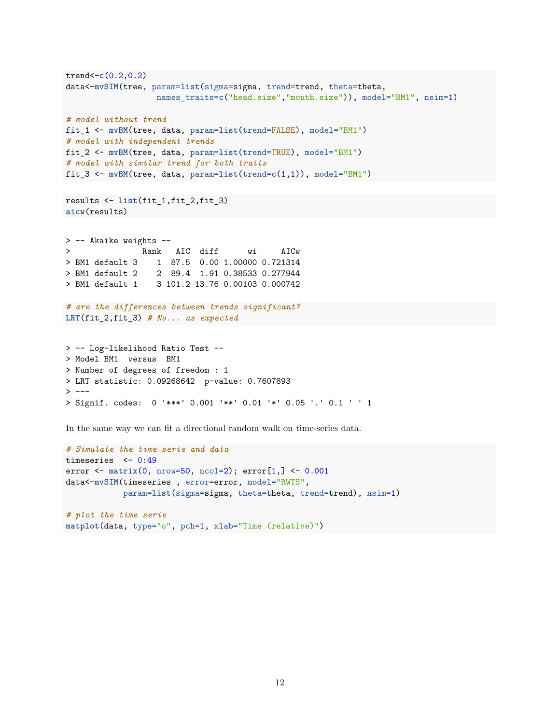```
trend<-c(0.2,0.2)
data<-mvSIM(tree, param=list(sigma=sigma, trend=trend, theta=theta,
                  names_traits=c("head.size","mouth.size")), model="BM1", nsim=1)
# model without trend
fit_1 <- mvBM(tree, data, param=list(trend=FALSE), model="BM1")
# model with independent trends
fit_2 <- mvBM(tree, data, param=list(trend=TRUE), model="BM1")
# model with similar trend for both traits
fit_3 <- mvBM(tree, data, param=list(trend=c(1,1)), model="BM1")
results <- list(fit_1,fit_2,fit_3)
aicw(results)
> -- Akaike weights --
> Rank AIC diff wi AICw
> BM1 default 3 1 87.5 0.00 1.00000 0.721314
> BM1 default 2 2 89.4 1.91 0.38533 0.277944
> BM1 default 1 3 101.2 13.76 0.00103 0.000742
# are the differences between trends significant?
LRT(fit_2,fit_3) # No... as expected
> -- Log-likelihood Ratio Test --
> Model BM1 versus BM1
> Number of degrees of freedom : 1
> LRT statistic: 0.09268642 p-value: 0.7607893
> ---
```

```
> Signif. codes: 0 '***' 0.001 '**' 0.01 '*' 0.05 '.' 0.1 ' ' 1
```
In the same way we can fit a directional random walk on time-series data.

```
# Simulate the time serie and data
timeseries <- 0:49
error <- matrix(0, nrow=50, ncol=2); error[1,] <- 0.001
data<-mvSIM(timeseries , error=error, model="RWTS",
           param=list(sigma=sigma, theta=theta, trend=trend), nsim=1)
```

```
# plot the time serie
matplot(data, type="o", pch=1, xlab="Time (relative)")
```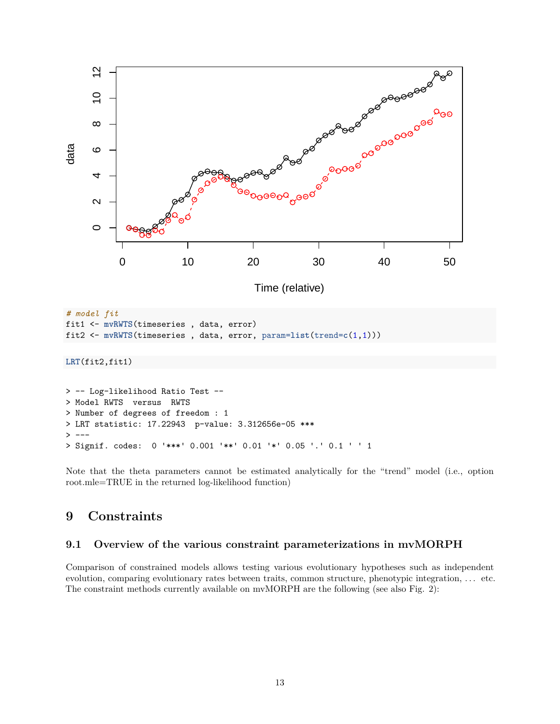

> Signif. codes: 0 '\*\*\*' 0.001 '\*\*' 0.01 '\*' 0.05 '.' 0.1 ' ' 1

Note that the theta parameters cannot be estimated analytically for the "trend" model (i.e., option root.mle=TRUE in the returned log-likelihood function)

# <span id="page-12-0"></span>**9 Constraints**

#### <span id="page-12-1"></span>**9.1 Overview of the various constraint parameterizations in mvMORPH**

Comparison of constrained models allows testing various evolutionary hypotheses such as independent evolution, comparing evolutionary rates between traits, common structure, phenotypic integration, . . . etc. The constraint methods currently available on mvMORPH are the following (see also Fig. 2):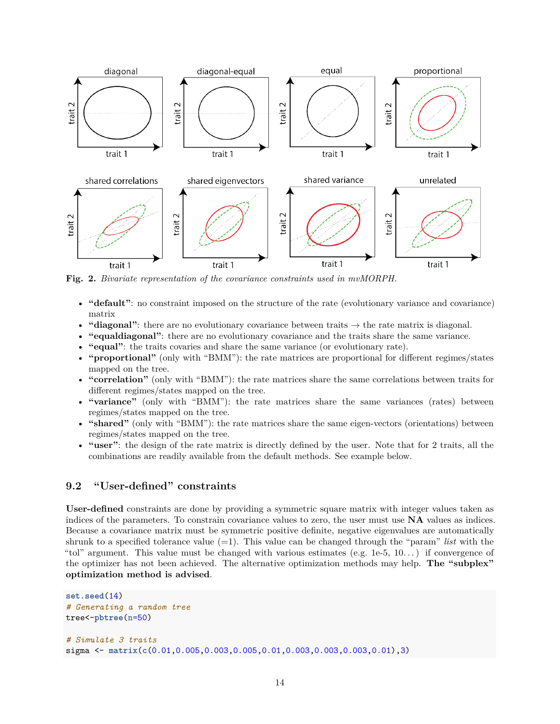

**Fig. 2.** *Bivariate representation of the covariance constraints used in mvMORPH.*

- **"default"**: no constraint imposed on the structure of the rate (evolutionary variance and covariance) matrix
- **"diagonal"**: there are no evolutionary covariance between traits  $\rightarrow$  the rate matrix is diagonal.
- **"equaldiagonal"**: there are no evolutionary covariance and the traits share the same variance.
- **"equal"**: the traits covaries and share the same variance (or evolutionary rate).
- **"proportional"** (only with "BMM"): the rate matrices are proportional for different regimes/states mapped on the tree.
- **"correlation"** (only with "BMM"): the rate matrices share the same correlations between traits for different regimes/states mapped on the tree.
- "variance" (only with "BMM"): the rate matrices share the same variances (rates) between regimes/states mapped on the tree.
- "shared" (only with "BMM"): the rate matrices share the same eigen-vectors (orientations) between regimes/states mapped on the tree.
- **"user"**: the design of the rate matrix is directly defined by the user. Note that for 2 traits, all the combinations are readily available from the default methods. See example below.

#### <span id="page-13-0"></span>**9.2 "User-defined" constraints**

**User-defined** constraints are done by providing a symmetric square matrix with integer values taken as indices of the parameters. To constrain covariance values to zero, the user must use **NA** values as indices. Because a covariance matrix must be symmetric positive definite, negative eigenvalues are automatically shrunk to a specified tolerance value  $(=1)$ . This value can be changed through the "param" *list* with the "tol" argument. This value must be changed with various estimates (e.g.  $1e-5$ ,  $10...$ ) if convergence of the optimizer has not been achieved. The alternative optimization methods may help. **The "subplex" optimization method is advised**.

```
set.seed(14)
# Generating a random tree
tree<-pbtree(n=50)
# Simulate 3 traits
sigma <- matrix(c(0.01,0.005,0.003,0.005,0.01,0.003,0.003,0.003,0.01),3)
```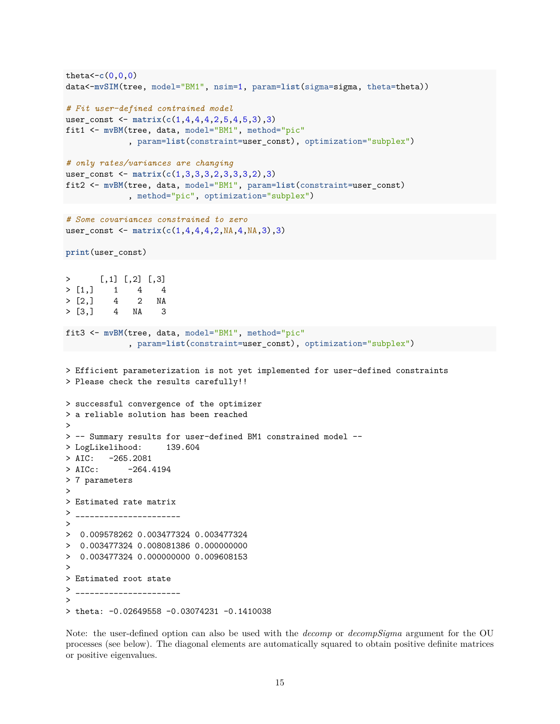```
theta<-c(0,0,0)
data<-mvSIM(tree, model="BM1", nsim=1, param=list(sigma=sigma, theta=theta))
# Fit user-defined contrained model
user_const <- matrix(c(1,4,4,4,2,5,4,5,3),3)
fit1 <- mvBM(tree, data, model="BM1", method="pic"
             , param=list(constraint=user_const), optimization="subplex")
# only rates/variances are changing
user_const <- matrix(c(1,3,3,3,2,3,3,3,2),3)
fit2 <- mvBM(tree, data, model="BM1", param=list(constraint=user_const)
             , method="pic", optimization="subplex")
# Some covariances constrained to zero
user_const <- matrix(c(1,4,4,4,2,NA,4,NA,3),3)
print(user_const)
> [,1] [,2] [,3]
> [1,] 1 4 4
> [2,] 4 2 NA
> [3,] 4 NA 3
fit3 <- mvBM(tree, data, model="BM1", method="pic"
             , param=list(constraint=user_const), optimization="subplex")
> Efficient parameterization is not yet implemented for user-defined constraints
> Please check the results carefully!!
> successful convergence of the optimizer
> a reliable solution has been reached
>
> -- Summary results for user-defined BM1 constrained model --
> LogLikelihood: 139.604
> AIC: -265.2081> AICc: -264.4194> 7 parameters
\rightarrow> Estimated rate matrix
> _______________________
>
> 0.009578262 0.003477324 0.003477324
> 0.003477324 0.008081386 0.000000000
> 0.003477324 0.000000000 0.009608153
>
> Estimated root state
> _______________________
>
> theta: -0.02649558 -0.03074231 -0.1410038
```
Note: the user-defined option can also be used with the *decomp* or *decompSigma* argument for the OU processes (see below). The diagonal elements are automatically squared to obtain positive definite matrices or positive eigenvalues.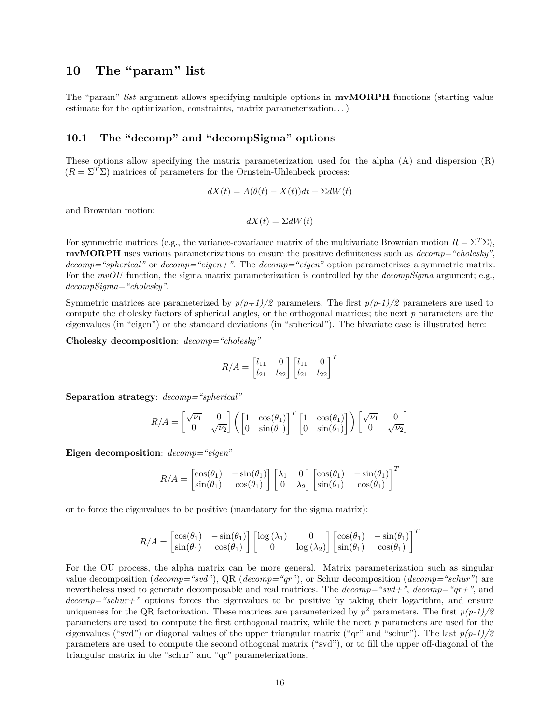# <span id="page-15-0"></span>**10 The "param" list**

The "param" *list* argument allows specifying multiple options in **mvMORPH** functions (starting value estimate for the optimization, constraints, matrix parameterization. . . )

#### <span id="page-15-1"></span>**10.1 The "decomp" and "decompSigma" options**

These options allow specifying the matrix parameterization used for the alpha (A) and dispersion (R)  $(R = \Sigma^T \Sigma)$  matrices of parameters for the Ornstein-Uhlenbeck process:

$$
dX(t) = A(\theta(t) - X(t))dt + \Sigma dW(t)
$$

and Brownian motion:

 $dX(t) = \Sigma dW(t)$ 

For symmetric matrices (e.g., the variance-covariance matrix of the multivariate Brownian motion  $R = \Sigma^T \Sigma$ ), **mvMORPH** uses various parameterizations to ensure the positive definiteness such as *decomp="cholesky"*, *decomp="spherical"* or *decomp="eigen+"*. The *decomp="eigen"* option parameterizes a symmetric matrix. For the  $mvOU$  function, the sigma matrix parameterization is controlled by the *decompSigma* argument; e.g., *decompSigma="cholesky"*.

Symmetric matrices are parameterized by  $p(p+1)/2$  parameters. The first  $p(p-1)/2$  parameters are used to compute the cholesky factors of spherical angles, or the orthogonal matrices; the next *p* parameters are the eigenvalues (in "eigen") or the standard deviations (in "spherical"). The bivariate case is illustrated here:

**Cholesky decomposition**: *decomp="cholesky"*

$$
R/A = \begin{bmatrix} l_{11} & 0 \\ l_{21} & l_{22} \end{bmatrix} \begin{bmatrix} l_{11} & 0 \\ l_{21} & l_{22} \end{bmatrix}^T
$$

**Separation strategy**: *decomp="spherical"*

$$
R/A = \begin{bmatrix} \sqrt{\nu_1} & 0 \\ 0 & \sqrt{\nu_2} \end{bmatrix} \left( \begin{bmatrix} 1 & \cos(\theta_1) \\ 0 & \sin(\theta_1) \end{bmatrix}^T \begin{bmatrix} 1 & \cos(\theta_1) \\ 0 & \sin(\theta_1) \end{bmatrix} \right) \begin{bmatrix} \sqrt{\nu_1} & 0 \\ 0 & \sqrt{\nu_2} \end{bmatrix}
$$

**Eigen decomposition**: *decomp="eigen"*

$$
R/A = \begin{bmatrix} \cos(\theta_1) & -\sin(\theta_1) \\ \sin(\theta_1) & \cos(\theta_1) \end{bmatrix} \begin{bmatrix} \lambda_1 & 0 \\ 0 & \lambda_2 \end{bmatrix} \begin{bmatrix} \cos(\theta_1) & -\sin(\theta_1) \\ \sin(\theta_1) & \cos(\theta_1) \end{bmatrix}^T
$$

or to force the eigenvalues to be positive (mandatory for the sigma matrix):

$$
R/A = \begin{bmatrix} \cos(\theta_1) & -\sin(\theta_1) \\ \sin(\theta_1) & \cos(\theta_1) \end{bmatrix} \begin{bmatrix} \log(\lambda_1) & 0 \\ 0 & \log(\lambda_2) \end{bmatrix} \begin{bmatrix} \cos(\theta_1) & -\sin(\theta_1) \\ \sin(\theta_1) & \cos(\theta_1) \end{bmatrix}^T
$$

For the OU process, the alpha matrix can be more general. Matrix parameterization such as singular value decomposition (*decomp="svd"*), QR (*decomp="qr"*), or Schur decomposition (*decomp="schur"*) are nevertheless used to generate decomposable and real matrices. The *decomp="svd+"*, *decomp="qr+"*, and *decomp="schur+"* options forces the eigenvalues to be positive by taking their logarithm, and ensure uniqueness for the QR factorization. These matrices are parameterized by  $p^2$  parameters. The first  $p(p-1)/2$ parameters are used to compute the first orthogonal matrix, while the next *p* parameters are used for the eigenvalues ("svd") or diagonal values of the upper triangular matrix ("qr" and "schur"). The last *p(p-1)/2* parameters are used to compute the second othogonal matrix ("svd"), or to fill the upper off-diagonal of the triangular matrix in the "schur" and "qr" parameterizations.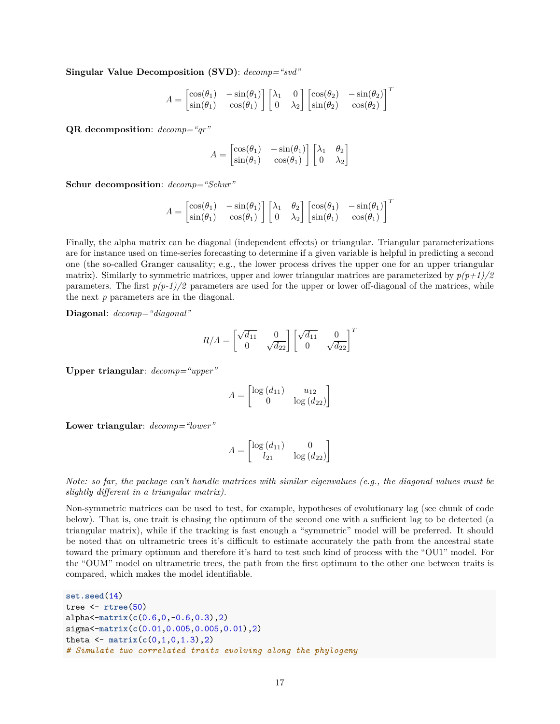**Singular Value Decomposition (SVD)**: *decomp="svd"*

$$
A = \begin{bmatrix} \cos(\theta_1) & -\sin(\theta_1) \\ \sin(\theta_1) & \cos(\theta_1) \end{bmatrix} \begin{bmatrix} \lambda_1 & 0 \\ 0 & \lambda_2 \end{bmatrix} \begin{bmatrix} \cos(\theta_2) & -\sin(\theta_2) \\ \sin(\theta_2) & \cos(\theta_2) \end{bmatrix}^T
$$

**QR decomposition**: *decomp="qr"*

$$
A = \begin{bmatrix} \cos(\theta_1) & -\sin(\theta_1) \\ \sin(\theta_1) & \cos(\theta_1) \end{bmatrix} \begin{bmatrix} \lambda_1 & \theta_2 \\ 0 & \lambda_2 \end{bmatrix}
$$

**Schur decomposition**: *decomp="Schur"*

$$
A = \begin{bmatrix} \cos(\theta_1) & -\sin(\theta_1) \\ \sin(\theta_1) & \cos(\theta_1) \end{bmatrix} \begin{bmatrix} \lambda_1 & \theta_2 \\ 0 & \lambda_2 \end{bmatrix} \begin{bmatrix} \cos(\theta_1) & -\sin(\theta_1) \\ \sin(\theta_1) & \cos(\theta_1) \end{bmatrix}^T
$$

Finally, the alpha matrix can be diagonal (independent effects) or triangular. Triangular parameterizations are for instance used on time-series forecasting to determine if a given variable is helpful in predicting a second one (the so-called Granger causality; e.g., the lower process drives the upper one for an upper triangular matrix). Similarly to symmetric matrices, upper and lower triangular matrices are parameterized by  $p(p+1)/2$ parameters. The first  $p(p-1)/2$  parameters are used for the upper or lower off-diagonal of the matrices, while the next *p* parameters are in the diagonal.

**Diagonal**: *decomp="diagonal"*

$$
R/A = \begin{bmatrix} \sqrt{d_{11}} & 0\\ 0 & \sqrt{d_{22}} \end{bmatrix} \begin{bmatrix} \sqrt{d_{11}} & 0\\ 0 & \sqrt{d_{22}} \end{bmatrix}^T
$$

**Upper triangular**: *decomp="upper"*

$$
A = \begin{bmatrix} \log\left(d_{11}\right) & u_{12} \\ 0 & \log\left(d_{22}\right) \end{bmatrix}
$$

**Lower triangular**: *decomp="lower"*

$$
A = \begin{bmatrix} \log\left(d_{11}\right) & 0\\ l_{21} & \log\left(d_{22}\right) \end{bmatrix}
$$

*Note: so far, the package can't handle matrices with similar eigenvalues (e.g., the diagonal values must be slightly different in a triangular matrix).*

Non-symmetric matrices can be used to test, for example, hypotheses of evolutionary lag (see chunk of code below). That is, one trait is chasing the optimum of the second one with a sufficient lag to be detected (a triangular matrix), while if the tracking is fast enough a "symmetric" model will be preferred. It should be noted that on ultrametric trees it's difficult to estimate accurately the path from the ancestral state toward the primary optimum and therefore it's hard to test such kind of process with the "OU1" model. For the "OUM" model on ultrametric trees, the path from the first optimum to the other one between traits is compared, which makes the model identifiable.

```
set.seed(14)
tree <- rtree(50)
alpha<-matrix(c(0.6,0,-0.6,0.3),2)
sigma<-matrix(c(0.01,0.005,0.005,0.01),2)
theta \leq matrix(c(0,1,0,1.3),2)# Simulate two correlated traits evolving along the phylogeny
```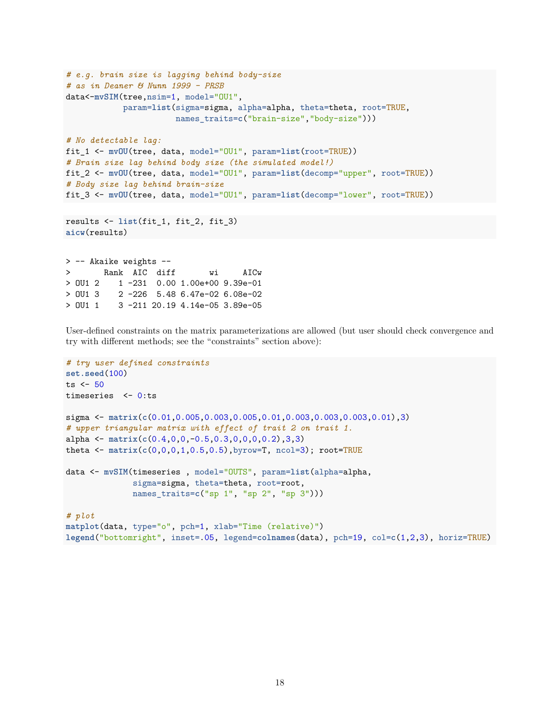```
# e.g. brain size is lagging behind body-size
# as in Deaner & Nunn 1999 - PRSB
data<-mvSIM(tree,nsim=1, model="0U1",
           param=list(sigma=sigma, alpha=alpha, theta=theta, root=TRUE,
                      names traits=c("brain-size","body-size")))
# No detectable lag:
fit_1 <- mvOU(tree, data, model="OU1", param=list(root=TRUE))
# Brain size lag behind body size (the simulated model!)
fit_2 <- mvOU(tree, data, model="OU1", param=list(decomp="upper", root=TRUE))
# Body size lag behind brain-size
fit_3 <- mvOU(tree, data, model="OU1", param=list(decomp="lower", root=TRUE))
results <- list(fit_1, fit_2, fit_3)
aicw(results)
> -- Akaike weights --
> Rank AIC diff wi AICw
```
> OU1 2 1 -231 0.00 1.00e+00 9.39e-01 > OU1 3 2 -226 5.48 6.47e-02 6.08e-02 > OU1 1 3 -211 20.19 4.14e-05 3.89e-05

User-defined constraints on the matrix parameterizations are allowed (but user should check convergence and try with different methods; see the "constraints" section above):

```
# try user defined constraints
set.seed(100)
ts \leq 50
timeseries <- 0:ts
sigma <- matrix(c(0.01,0.005,0.003,0.005,0.01,0.003,0.003,0.003,0.01),3)
# upper triangular matrix with effect of trait 2 on trait 1.
alpha <- matrix(c(0.4,0,0,-0.5,0.3,0,0,0,0.2),3,3)
theta <- matrix(c(0,0,0,1,0.5,0.5),byrow=T, ncol=3); root=TRUE
data <- mvSIM(timeseries , model="OUTS", param=list(alpha=alpha,
              sigma=sigma, theta=theta, root=root,
              names_traits=c("sp 1", "sp 2", "sp 3")))
# plot
matplot(data, type="o", pch=1, xlab="Time (relative)")
legend("bottomright", inset=.05, legend=colnames(data), pch=19, col=c(1,2,3), horiz=TRUE)
```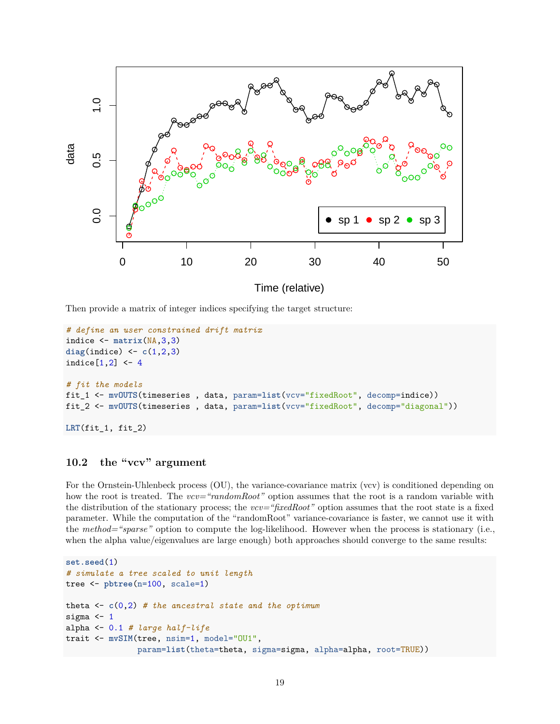

Then provide a matrix of integer indices specifying the target structure:

```
# define an user constrained drift matrix
indice <- matrix(NA,3,3)
diag(indice) <- c(1,2,3)
indice[1,2] <- 4
# fit the models
fit_1 <- mvOUTS(timeseries , data, param=list(vcv="fixedRoot", decomp=indice))
fit_2 <- mvOUTS(timeseries , data, param=list(vcv="fixedRoot", decomp="diagonal"))
```

```
LRT(fit_1, fit_2)
```
## <span id="page-18-0"></span>**10.2 the "vcv" argument**

For the Ornstein-Uhlenbeck process (OU), the variance-covariance matrix (vcv) is conditioned depending on how the root is treated. The *vcv="randomRoot"* option assumes that the root is a random variable with the distribution of the stationary process; the *vcv="fixedRoot"* option assumes that the root state is a fixed parameter. While the computation of the "randomRoot" variance-covariance is faster, we cannot use it with the *method="sparse"* option to compute the log-likelihood. However when the process is stationary (i.e., when the alpha value/eigenvalues are large enough) both approaches should converge to the same results:

```
set.seed(1)
# simulate a tree scaled to unit length
tree <- pbtree(n=100, scale=1)
theta <- c(0,2) # the ancestral state and the optimum
sigma <-1alpha <- 0.1 # large half-life
trait <- mvSIM(tree, nsim=1, model="OU1",
               param=list(theta=theta, sigma=sigma, alpha=alpha, root=TRUE))
```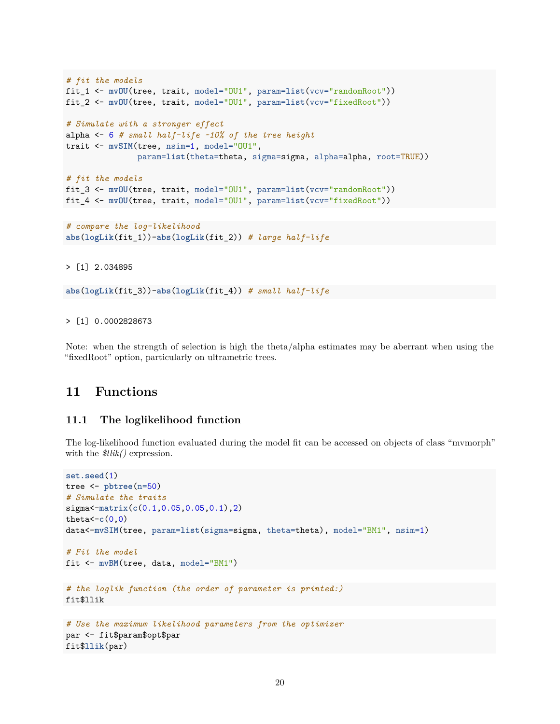```
# fit the models
fit_1 <- mvOU(tree, trait, model="OU1", param=list(vcv="randomRoot"))
fit_2 <- mvOU(tree, trait, model="OU1", param=list(vcv="fixedRoot"))
# Simulate with a stronger effect
alpha <- 6 # small half-life ~10% of the tree height
trait <- mvSIM(tree, nsim=1, model="OU1",
              param=list(theta=theta, sigma=sigma, alpha=alpha, root=TRUE))
# fit the models
fit_3 <- mvOU(tree, trait, model="OU1", param=list(vcv="randomRoot"))
```

```
fit_4 <- mvOU(tree, trait, model="OU1", param=list(vcv="fixedRoot"))
```

```
# compare the log-likelihood
abs(logLik(fit_1))-abs(logLik(fit_2)) # large half-life
```
#### > [1] 2.034895

**abs**(**logLik**(fit\_3))-**abs**(**logLik**(fit\_4)) *# small half-life*

#### > [1] 0.0002828673

Note: when the strength of selection is high the theta/alpha estimates may be aberrant when using the "fixedRoot" option, particularly on ultrametric trees.

# <span id="page-19-0"></span>**11 Functions**

#### <span id="page-19-1"></span>**11.1 The loglikelihood function**

The log-likelihood function evaluated during the model fit can be accessed on objects of class "mvmorph" with the *\$llik()* expression.

```
set.seed(1)
tree <- pbtree(n=50)
# Simulate the traits
sigma<-matrix(c(0.1,0.05,0.05,0.1),2)
theta< -c(0,0)data<-mvSIM(tree, param=list(sigma=sigma, theta=theta), model="BM1", nsim=1)
# Fit the model
fit <- mvBM(tree, data, model="BM1")
# the loglik function (the order of parameter is printed:)
fit$llik
# Use the maximum likelihood parameters from the optimizer
par <- fit$param$opt$par
fit$llik(par)
```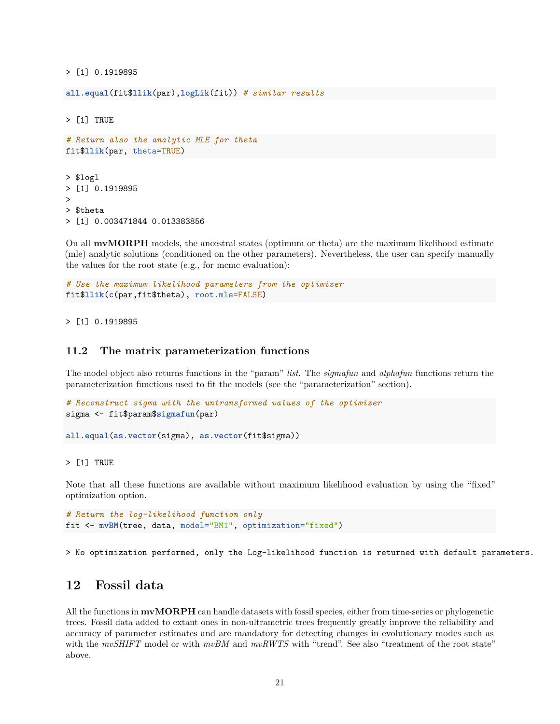> [1] 0.1919895

**all.equal**(fit\$**llik**(par),**logLik**(fit)) *# similar results*

> [1] TRUE

```
# Return also the analytic MLE for theta
fit$llik(par, theta=TRUE)
> $logl
> [1] 0.1919895
>
> $theta
> [1] 0.003471844 0.013383856
```
On all **mvMORPH** models, the ancestral states (optimum or theta) are the maximum likelihood estimate (mle) analytic solutions (conditioned on the other parameters). Nevertheless, the user can specify manually the values for the root state (e.g., for mcmc evaluation):

```
# Use the maximum likelihood parameters from the optimizer
fit$llik(c(par,fit$theta), root.mle=FALSE)
```
> [1] 0.1919895

#### <span id="page-20-0"></span>**11.2 The matrix parameterization functions**

The model object also returns functions in the "param" *list*. The *sigmafun* and *alphafun* functions return the parameterization functions used to fit the models (see the "parameterization" section).

```
# Reconstruct sigma with the untransformed values of the optimizer
sigma <- fit$param$sigmafun(par)
```
**all.equal**(**as.vector**(sigma), **as.vector**(fit\$sigma))

> [1] TRUE

Note that all these functions are available without maximum likelihood evaluation by using the "fixed" optimization option.

```
# Return the log-likelihood function only
fit <- mvBM(tree, data, model="BM1", optimization="fixed")
```
> No optimization performed, only the Log-likelihood function is returned with default parameters.

# <span id="page-20-1"></span>**12 Fossil data**

All the functions in **mvMORPH** can handle datasets with fossil species, either from time-series or phylogenetic trees. Fossil data added to extant ones in non-ultrametric trees frequently greatly improve the reliability and accuracy of parameter estimates and are mandatory for detecting changes in evolutionary modes such as with the *mvSHIFT* model or with  $mvBM$  and  $mvRWTS$  with "trend". See also "treatment of the root state" above.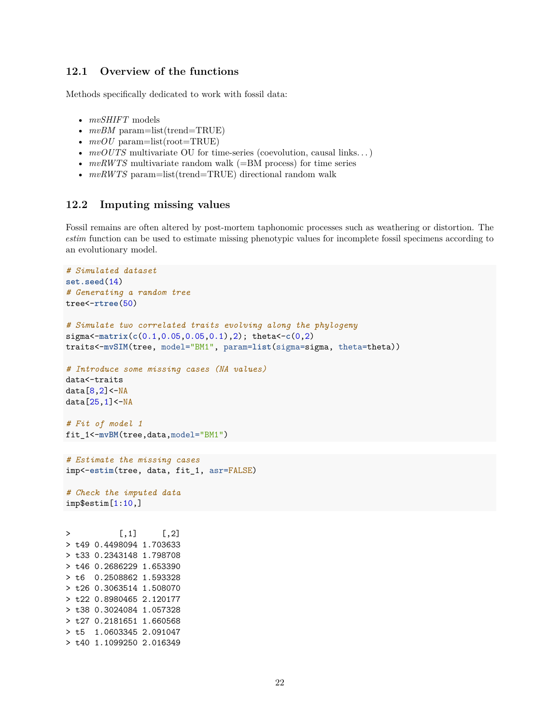#### <span id="page-21-0"></span>**12.1 Overview of the functions**

Methods specifically dedicated to work with fossil data:

- *mvSHIFT* models
- $mvBM$  param=list(trend=TRUE)
- $mvOU$  param=list(root=TRUE)
- *mvOUTS* multivariate OU for time-series (coevolution, causal links...)
- *mvRWTS* multivariate random walk (=BM process) for time series
- $mvRWTS$  param=list(trend=TRUE) directional random walk

#### <span id="page-21-1"></span>**12.2 Imputing missing values**

Fossil remains are often altered by post-mortem taphonomic processes such as weathering or distortion. The *estim* function can be used to estimate missing phenotypic values for incomplete fossil specimens according to an evolutionary model.

```
# Simulated dataset
set.seed(14)
# Generating a random tree
tree<-rtree(50)
# Simulate two correlated traits evolving along the phylogeny
sigma<-matrix(c(0.1,0.05,0.05,0.1),2); theta<-c(0,2)
traits<-mvSIM(tree, model="BM1", param=list(sigma=sigma, theta=theta))
# Introduce some missing cases (NA values)
data<-traits
data[8,2]<-NA
data[25,1]<-NA
# Fit of model 1
fit_1<-mvBM(tree,data,model="BM1")
# Estimate the missing cases
imp<-estim(tree, data, fit_1, asr=FALSE)
# Check the imputed data
imp$estim[1:10,]
> [1,1] [1,2]> t49 0.4498094 1.703633
> t33 0.2343148 1.798708
> t46 0.2686229 1.653390
> t6 0.2508862 1.593328
> t26 0.3063514 1.508070
> t22 0.8980465 2.120177
> t38 0.3024084 1.057328
> t27 0.2181651 1.660568
> t5 1.0603345 2.091047
> t40 1.1099250 2.016349
```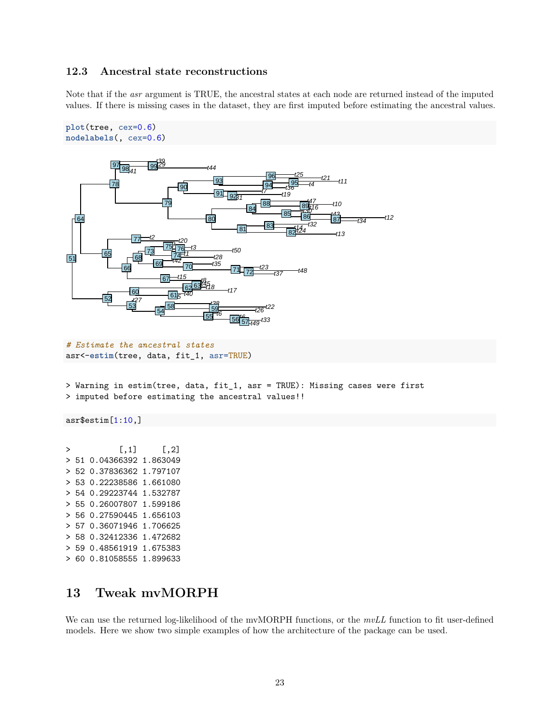#### <span id="page-22-0"></span>**12.3 Ancestral state reconstructions**

Note that if the *asr* argument is TRUE, the ancestral states at each node are returned instead of the imputed values. If there is missing cases in the dataset, they are first imputed before estimating the ancestral values.

```
plot(tree, cex=0.6)
nodelabels(, cex=0.6)
```


*# Estimate the ancestral states* asr<-**estim**(tree, data, fit\_1, asr=TRUE)

> Warning in estim(tree, data, fit\_1, asr = TRUE): Missing cases were first > imputed before estimating the ancestral values!!

asr\$estim[1:10,]

 $> [,1] [,2]$ > 51 0.04366392 1.863049 > 52 0.37836362 1.797107 > 53 0.22238586 1.661080 > 54 0.29223744 1.532787 > 55 0.26007807 1.599186 > 56 0.27590445 1.656103 > 57 0.36071946 1.706625 > 58 0.32412336 1.472682 > 59 0.48561919 1.675383 > 60 0.81058555 1.899633

# <span id="page-22-1"></span>**13 Tweak mvMORPH**

We can use the returned log-likelihood of the mvMORPH functions, or the *mvLL* function to fit user-defined models. Here we show two simple examples of how the architecture of the package can be used.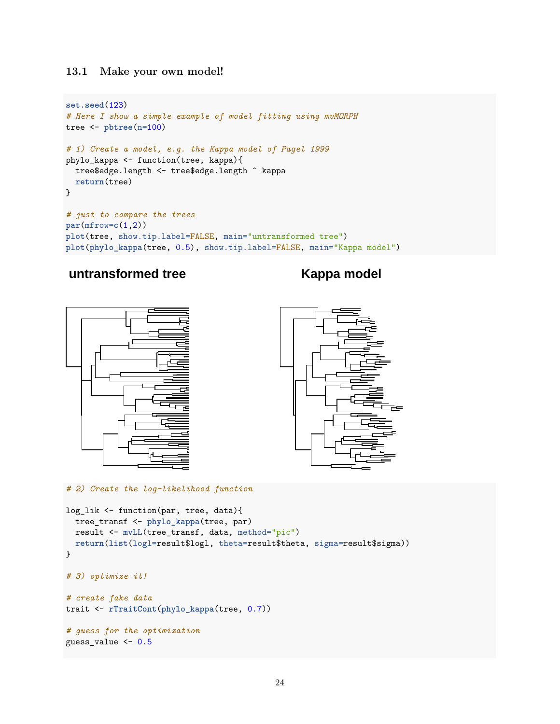### <span id="page-23-0"></span>**13.1 Make your own model!**

```
set.seed(123)
# Here I show a simple example of model fitting using mvMORPH
tree <- pbtree(n=100)
# 1) Create a model, e.g. the Kappa model of Pagel 1999
phylo_kappa <- function(tree, kappa){
 tree$edge.length <- tree$edge.length ^ kappa
 return(tree)
}
# just to compare the trees
par(mfrow=c(1,2))
plot(tree, show.tip.label=FALSE, main="untransformed tree")
plot(phylo_kappa(tree, 0.5), show.tip.label=FALSE, main="Kappa model")
```
# **untransformed tree Kappa model**





*# 2) Create the log-likelihood function*

```
log_lik <- function(par, tree, data){
  tree_transf <- phylo_kappa(tree, par)
 result <- mvLL(tree_transf, data, method="pic")
 return(list(logl=result$logl, theta=result$theta, sigma=result$sigma))
}
# 3) optimize it!
# create fake data
trait <- rTraitCont(phylo_kappa(tree, 0.7))
# guess for the optimization
guess_value <- 0.5
```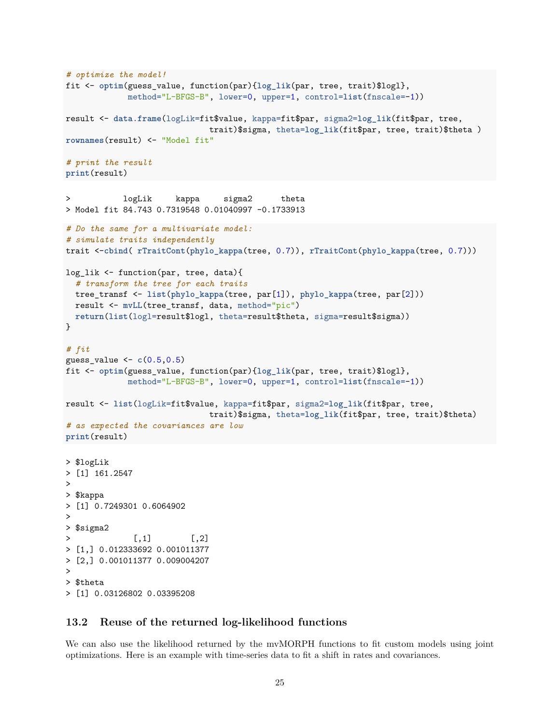```
# optimize the model!
fit <- optim(guess_value, function(par){log_lik(par, tree, trait)$logl},
            method="L-BFGS-B", lower=0, upper=1, control=list(fnscale=-1))
result <- data.frame(logLik=fit$value, kappa=fit$par, sigma2=log_lik(fit$par, tree,
                             trait)$sigma, theta=log_lik(fit$par, tree, trait)$theta )
rownames(result) <- "Model fit"
# print the result
print(result)
> logLik kappa sigma2 theta
> Model fit 84.743 0.7319548 0.01040997 -0.1733913
# Do the same for a multivariate model:
# simulate traits independently
trait <-cbind( rTraitCont(phylo_kappa(tree, 0.7)), rTraitCont(phylo_kappa(tree, 0.7)))
log_lik <- function(par, tree, data){
  # transform the tree for each traits
 tree_transf <- list(phylo_kappa(tree, par[1]), phylo_kappa(tree, par[2]))
 result <- mvLL(tree_transf, data, method="pic")
 return(list(logl=result$logl, theta=result$theta, sigma=result$sigma))
}
# fit
guess_value <- c(0.5,0.5)
fit <- optim(guess_value, function(par){log_lik(par, tree, trait)$logl},
            method="L-BFGS-B", lower=0, upper=1, control=list(fnscale=-1))
result <- list(logLik=fit$value, kappa=fit$par, sigma2=log_lik(fit$par, tree,
                             trait)$sigma, theta=log_lik(fit$par, tree, trait)$theta)
# as expected the covariances are low
print(result)
> $logLik
> [1] 161.2547
>
> $kappa
> [1] 0.7249301 0.6064902
>
> $sigma2
              [,1] [,2]> [1,] 0.012333692 0.001011377
> [2,] 0.001011377 0.009004207
>
> $theta
> [1] 0.03126802 0.03395208
```
#### <span id="page-24-0"></span>**13.2 Reuse of the returned log-likelihood functions**

We can also use the likelihood returned by the mvMORPH functions to fit custom models using joint optimizations. Here is an example with time-series data to fit a shift in rates and covariances.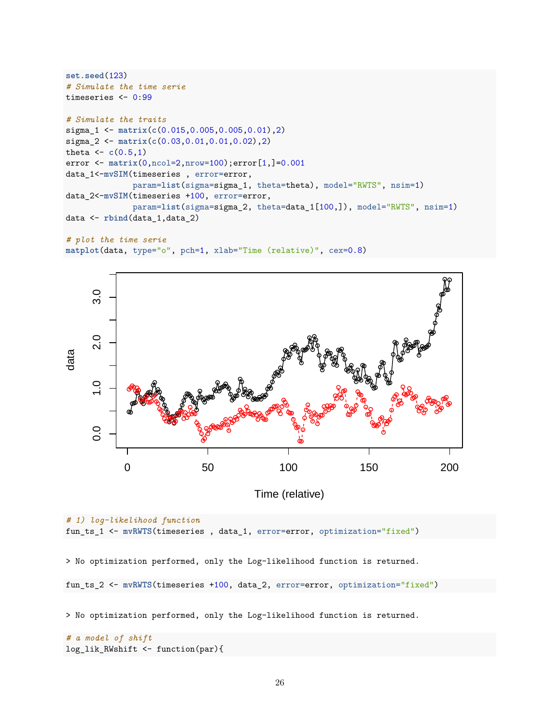```
set.seed(123)
# Simulate the time serie
timeseries <- 0:99
# Simulate the traits
sigma_1 <- matrix(c(0.015,0.005,0.005,0.01),2)
sigma_2 <- matrix(c(0.03,0.01,0.01,0.02),2)
theta \leftarrow c(0.5,1)error <- matrix(0,ncol=2,nrow=100);error[1,]=0.001
data_1<-mvSIM(timeseries , error=error,
              param=list(sigma=sigma_1, theta=theta), model="RWTS", nsim=1)
data_2<-mvSIM(timeseries +100, error=error,
              param=list(sigma=sigma_2, theta=data_1[100,]), model="RWTS", nsim=1)
data <- rbind(data_1,data_2)
```

```
# plot the time serie
matplot(data, type="o", pch=1, xlab="Time (relative)", cex=0.8)
```


Time (relative)

```
# 1) log-likelihood function
fun_ts_1 <- mvRWTS(timeseries , data_1, error=error, optimization="fixed")
> No optimization performed, only the Log-likelihood function is returned.
fun_ts_2 <- mvRWTS(timeseries +100, data_2, error=error, optimization="fixed")
> No optimization performed, only the Log-likelihood function is returned.
```

```
# a model of shift
log_lik_RWshift <- function(par){
```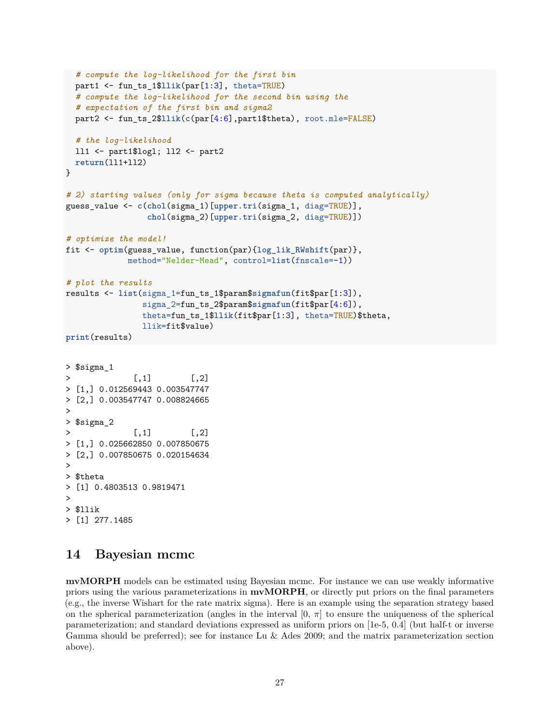```
# compute the log-likelihood for the first bin
 part1 <- fun_ts_1$llik(par[1:3], theta=TRUE)
  # compute the log-likelihood for the second bin using the
  # expectation of the first bin and sigma2
  part2 <- fun_ts_2$llik(c(par[4:6],part1$theta), root.mle=FALSE)
  # the log-likelihood
 ll1 <- part1$logl; ll2 <- part2
 return(ll1+ll2)
}
# 2) starting values (only for sigma because theta is computed analytically)
guess_value <- c(chol(sigma_1)[upper.tri(sigma_1, diag=TRUE)],
                chol(sigma_2)[upper.tri(sigma_2, diag=TRUE)])
# optimize the model!
fit <- optim(guess_value, function(par){log_lik_RWshift(par)},
            method="Nelder-Mead", control=list(fnscale=-1))
# plot the results
results <- list(sigma_1=fun_ts_1$param$sigmafun(fit$par[1:3]),
               sigma_2=fun_ts_2$param$sigmafun(fit$par[4:6]),
               theta=fun_ts_1$llik(fit$par[1:3], theta=TRUE)$theta,
               llik=fit$value)
print(results)
> $sigma_1
> [,1] [,2]
> [1,] 0.012569443 0.003547747
> [2,] 0.003547747 0.008824665
>
> $sigma_2
> [,1] [,2]
> [1,] 0.025662850 0.007850675
> [2,] 0.007850675 0.020154634
>
> $theta
> [1] 0.4803513 0.9819471
>
> $llik
> [1] 277.1485
```
# <span id="page-26-0"></span>**14 Bayesian mcmc**

**mvMORPH** models can be estimated using Bayesian mcmc. For instance we can use weakly informative priors using the various parameterizations in **mvMORPH**, or directly put priors on the final parameters (e.g., the inverse Wishart for the rate matrix sigma). Here is an example using the separation strategy based on the spherical parameterization (angles in the interval  $[0, \pi]$  to ensure the uniqueness of the spherical parameterization; and standard deviations expressed as uniform priors on [1e-5, 0.4] (but half-t or inverse Gamma should be preferred); see for instance Lu & Ades 2009; and the matrix parameterization section above).